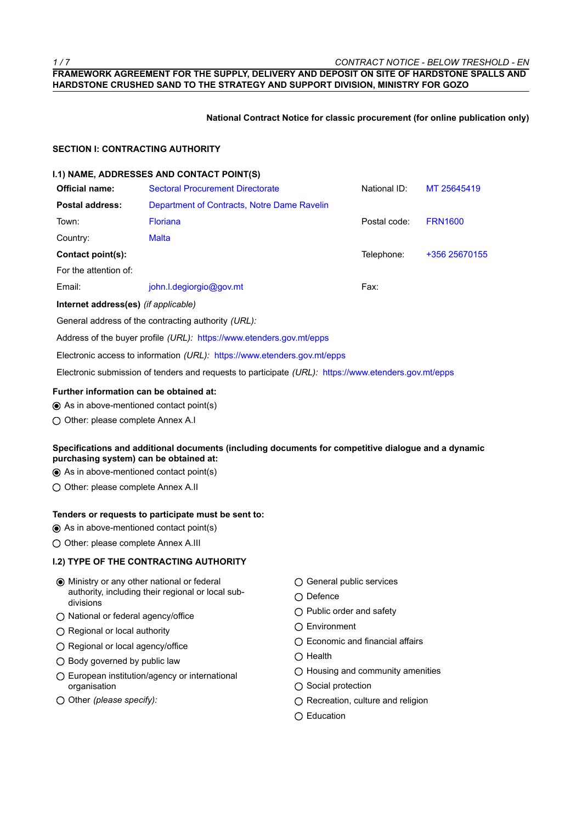*1 / 7 CONTRACT NOTICE - BELOW TRESHOLD - EN* **FRAMEWORK AGREEMENT FOR THE SUPPLY, DELIVERY AND DEPOSIT ON SITE OF HARDSTONE SPALLS AND HARDSTONE CRUSHED SAND TO THE STRATEGY AND SUPPORT DIVISION, MINISTRY FOR GOZO**

**National Contract Notice for classic procurement (for online publication only)**

#### **SECTION I: CONTRACTING AUTHORITY**

#### **I.1) NAME, ADDRESSES AND CONTACT POINT(S)**

| <b>Official name:</b>                | <b>Sectoral Procurement Directorate</b>     | National ID: | MT 25645419    |
|--------------------------------------|---------------------------------------------|--------------|----------------|
| <b>Postal address:</b>               | Department of Contracts, Notre Dame Ravelin |              |                |
| Town:                                | <b>Floriana</b>                             | Postal code: | <b>FRN1600</b> |
| Country:                             | <b>Malta</b>                                |              |                |
| Contact point(s):                    |                                             | Telephone:   | +356 25670155  |
| For the attention of:                |                                             |              |                |
| Email:                               | john.l.degiorgio@gov.mt                     | Fax:         |                |
| Internet address(es) (if applicable) |                                             |              |                |
|                                      |                                             |              |                |

General address of the contracting authority *(URL):*

Address of the buyer profile *(URL):* https://www.etenders.gov.mt/epps

Electronic access to information *(URL):* https://www.etenders.gov.mt/epps

Electronic submission of tenders and requests to participate *(URL):* https://www.etenders.gov.mt/epps

#### **Further information can be obtained at:**

- As in above-mentioned contact point(s)
- O Other: please complete Annex A.I

# **Specifications and additional documents (including documents for competitive dialogue and a dynamic purchasing system) can be obtained at:**

- As in above-mentioned contact point(s)
- O Other: please complete Annex A.II

# **Tenders or requests to participate must be sent to:**

- As in above-mentioned contact point(s)
- O Other: please complete Annex A.III

### **I.2) TYPE OF THE CONTRACTING AUTHORITY**

- Ministry or any other national or federal authority, including their regional or local subdivisions
- National or federal agency/office
- Regional or local authority
- Regional or local agency/office
- $\bigcap$  Body governed by public law
- European institution/agency or international organisation
- O Other *(please specify):*
- General public services
- $\bigcap$  Defence
- ◯ Public order and safety
- Environment
- ◯ Economic and financial affairs
- $\bigcirc$  Health
- $\bigcirc$  Housing and community amenities
- $\bigcirc$  Social protection
- $\bigcirc$  Recreation, culture and religion
- ◯ Education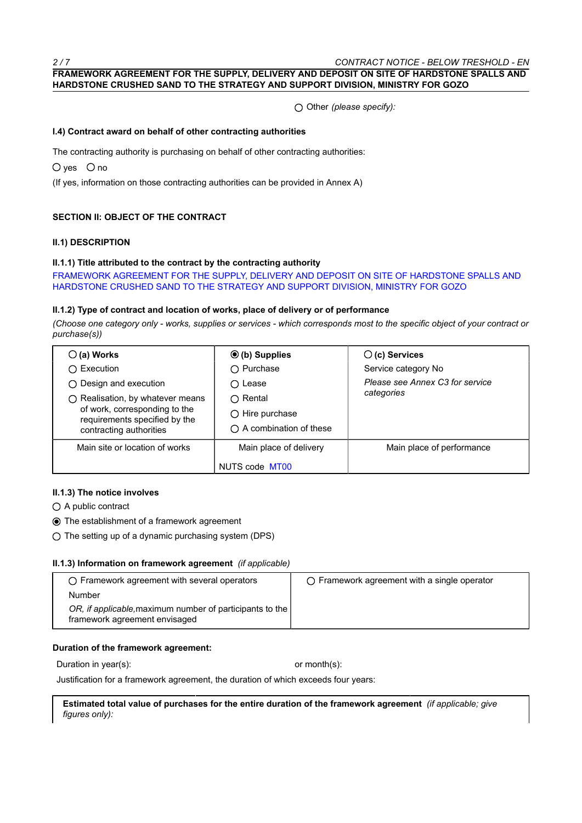### **FRAMEWORK AGREEMENT FOR THE SUPPLY, DELIVERY AND DEPOSIT ON SITE OF HARDSTONE SPALLS AND HARDSTONE CRUSHED SAND TO THE STRATEGY AND SUPPORT DIVISION, MINISTRY FOR GOZO**

Other *(please specify):*

#### **I.4) Contract award on behalf of other contracting authorities**

The contracting authority is purchasing on behalf of other contracting authorities:

 $O$  ves  $O$  no

(If yes, information on those contracting authorities can be provided in Annex A)

### **SECTION II: OBJECT OF THE CONTRACT**

#### **II.1) DESCRIPTION**

#### **II.1.1) Title attributed to the contract by the contracting authority**

FRAMEWORK AGREEMENT FOR THE SUPPLY, DELIVERY AND DEPOSIT ON SITE OF HARDSTONE SPALLS AND HARDSTONE CRUSHED SAND TO THE STRATEGY AND SUPPORT DIVISION, MINISTRY FOR GOZO

#### **II.1.2) Type of contract and location of works, place of delivery or of performance**

*(Choose one category only - works, supplies or services - which corresponds most to the specific object of your contract or purchase(s))*

| $\bigcirc$ (a) Works                                           | $\odot$ (b) Supplies             | $\bigcirc$ (c) Services         |  |
|----------------------------------------------------------------|----------------------------------|---------------------------------|--|
| ◯ Execution                                                    | $\bigcirc$ Purchase              | Service category No             |  |
| $\bigcirc$ Design and execution                                | $\bigcirc$ Lease                 | Please see Annex C3 for service |  |
| ○ Realisation, by whatever means                               | $\bigcap$ Rental                 | categories                      |  |
| of work, corresponding to the<br>requirements specified by the | $\bigcirc$ Hire purchase         |                                 |  |
| contracting authorities                                        | $\bigcap$ A combination of these |                                 |  |
| Main site or location of works                                 | Main place of delivery           | Main place of performance       |  |
|                                                                | NUTS code MT00                   |                                 |  |

#### **II.1.3) The notice involves**

○ A public contract

- The establishment of a framework agreement
- $\bigcirc$  The setting up of a dynamic purchasing system (DPS)

#### **II.1.3) Information on framework agreement** *(if applicable)*

| $\bigcirc$ Framework agreement with several operators                                     | $\bigcap$ Framework agreement with a single operator |
|-------------------------------------------------------------------------------------------|------------------------------------------------------|
| Number                                                                                    |                                                      |
| OR, if applicable, maximum number of participants to the<br>framework agreement envisaged |                                                      |

#### **Duration of the framework agreement:**

Duration in year(s):  $\qquad \qquad \text{or month(s)}$ 

Justification for a framework agreement, the duration of which exceeds four years:

**Estimated total value of purchases for the entire duration of the framework agreement** *(if applicable; give figures only):*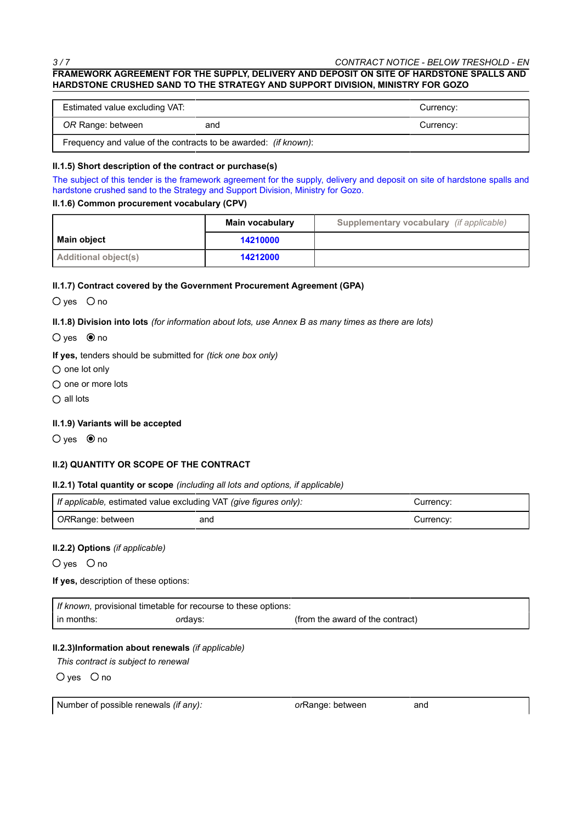# **FRAMEWORK AGREEMENT FOR THE SUPPLY, DELIVERY AND DEPOSIT ON SITE OF HARDSTONE SPALLS AND HARDSTONE CRUSHED SAND TO THE STRATEGY AND SUPPORT DIVISION, MINISTRY FOR GOZO**

| Estimated value excluding VAT:                                          |     | Currency: |
|-------------------------------------------------------------------------|-----|-----------|
| OR Range: between                                                       | and | Currency: |
| Frequency and value of the contracts to be awarded: <i>(if known)</i> : |     |           |

#### **II.1.5) Short description of the contract or purchase(s)**

The subject of this tender is the framework agreement for the supply, delivery and deposit on site of hardstone spalls and hardstone crushed sand to the Strategy and Support Division, Ministry for Gozo.

#### **II.1.6) Common procurement vocabulary (CPV)**

|                      | Main vocabulary | Supplementary vocabulary (if applicable) |
|----------------------|-----------------|------------------------------------------|
| Main object          | 14210000        |                                          |
| Additional object(s) | 14212000        |                                          |

#### **II.1.7) Contract covered by the Government Procurement Agreement (GPA)**

 $O$  yes  $O$  no

**II.1.8) Division into lots** *(for information about lots, use Annex B as many times as there are lots)*

 $O$  yes  $\odot$  no

**If yes,** tenders should be submitted for *(tick one box only)*

 $\bigcirc$  one lot only

 $\bigcirc$  one or more lots

 $\bigcirc$  all lots

### **II.1.9) Variants will be accepted**

 $O$  yes  $\bullet$  no

### **II.2) QUANTITY OR SCOPE OF THE CONTRACT**

### **II.2.1) Total quantity or scope** *(including all lots and options, if applicable)*

| If applicable, estimated value excluding VAT (give figures only): |     | Currencv: |
|-------------------------------------------------------------------|-----|-----------|
| ORRange: between                                                  | and | Currencv: |

### **II.2.2) Options** *(if applicable)*

 $O$  yes  $O$  no

### **If yes,** description of these options:

| If known, provisional timetable for recourse to these options: |         |                                  |
|----------------------------------------------------------------|---------|----------------------------------|
| in months:                                                     | ordays: | (from the award of the contract) |

# **II.2.3)Information about renewals** *(if applicable)*

*This contract is subject to renewal*

 $O$  yes  $O$  no

Number of possible renewals *(if any): or*Range: between and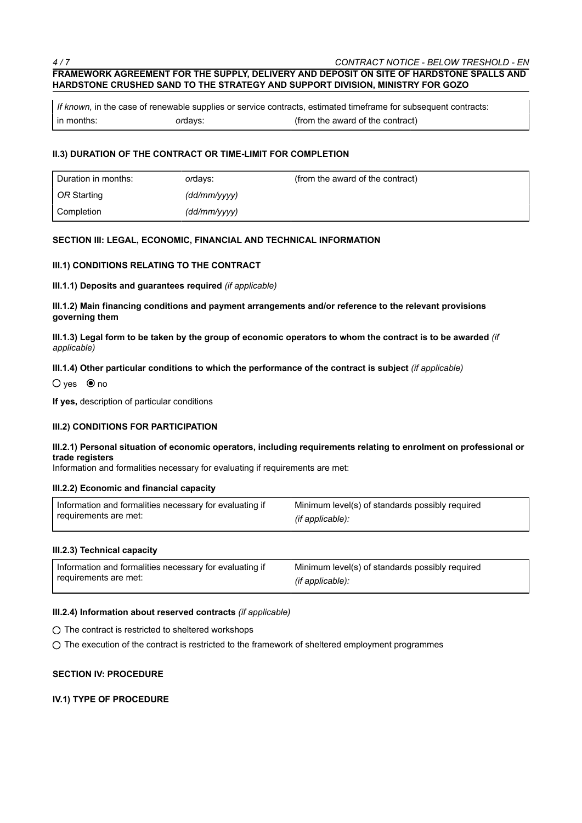# **FRAMEWORK AGREEMENT FOR THE SUPPLY, DELIVERY AND DEPOSIT ON SITE OF HARDSTONE SPALLS AND HARDSTONE CRUSHED SAND TO THE STRATEGY AND SUPPORT DIVISION, MINISTRY FOR GOZO**

*If known,* in the case of renewable supplies or service contracts, estimated timeframe for subsequent contracts: in months: *or*days: (from the award of the contract)

### **II.3) DURATION OF THE CONTRACT OR TIME-LIMIT FOR COMPLETION**

| Duration in months: | ordays:      | (from the award of the contract) |
|---------------------|--------------|----------------------------------|
| OR Starting         | (dd/mm/yyyy) |                                  |
| Completion          | (dd/mm/yyyy) |                                  |

#### **SECTION III: LEGAL, ECONOMIC, FINANCIAL AND TECHNICAL INFORMATION**

#### **III.1) CONDITIONS RELATING TO THE CONTRACT**

**III.1.1) Deposits and guarantees required** *(if applicable)*

**III.1.2) Main financing conditions and payment arrangements and/or reference to the relevant provisions governing them**

**III.1.3) Legal form to be taken by the group of economic operators to whom the contract is to be awarded** *(if applicable)*

#### **III.1.4) Other particular conditions to which the performance of the contract is subject** *(if applicable)*

 $O$  ves  $\odot$  no

**If yes,** description of particular conditions

### **III.2) CONDITIONS FOR PARTICIPATION**

#### **III.2.1) Personal situation of economic operators, including requirements relating to enrolment on professional or trade registers**

Information and formalities necessary for evaluating if requirements are met:

#### **III.2.2) Economic and financial capacity**

| Information and formalities necessary for evaluating if | Minimum level(s) of standards possibly required |
|---------------------------------------------------------|-------------------------------------------------|
| requirements are met:                                   | (if applicable):                                |

### **III.2.3) Technical capacity**

| Information and formalities necessary for evaluating if | Minimum level(s) of standards possibly required |
|---------------------------------------------------------|-------------------------------------------------|
| requirements are met:                                   | (if applicable):                                |

### **III.2.4) Information about reserved contracts** *(if applicable)*

 $\bigcirc$  The contract is restricted to sheltered workshops

 $\bigcirc$  The execution of the contract is restricted to the framework of sheltered employment programmes

#### **SECTION IV: PROCEDURE**

### **IV.1) TYPE OF PROCEDURE**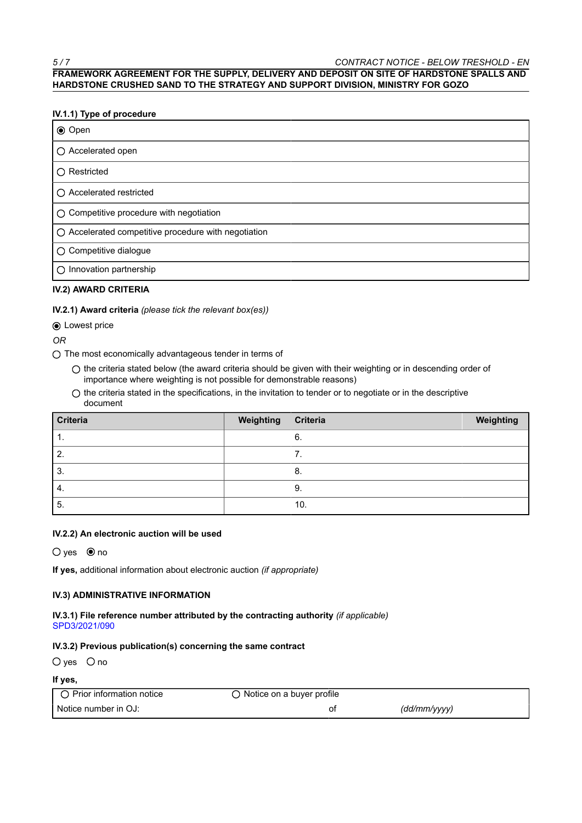# **FRAMEWORK AGREEMENT FOR THE SUPPLY, DELIVERY AND DEPOSIT ON SITE OF HARDSTONE SPALLS AND HARDSTONE CRUSHED SAND TO THE STRATEGY AND SUPPORT DIVISION, MINISTRY FOR GOZO**

# **IV.1.1) Type of procedure**

| <b>◉ Open</b>                                        |
|------------------------------------------------------|
| ○ Accelerated open                                   |
| $\bigcap$ Restricted                                 |
| ○ Accelerated restricted                             |
| ○ Competitive procedure with negotiation             |
| ○ Accelerated competitive procedure with negotiation |
| ○ Competitive dialogue                               |
| $\bigcirc$ Innovation partnership                    |

# **IV.2) AWARD CRITERIA**

### **IV.2.1) Award criteria** *(please tick the relevant box(es))*

# **● Lowest price**

*OR*

- $\bigcirc$  The most economically advantageous tender in terms of
	- $\bigcirc$  the criteria stated below (the award criteria should be given with their weighting or in descending order of importance where weighting is not possible for demonstrable reasons)
	- $\bigcirc$  the criteria stated in the specifications, in the invitation to tender or to negotiate or in the descriptive document

| Criteria | Weighting | Criteria | Weighting |
|----------|-----------|----------|-----------|
| л.       |           | 6.       |           |
| Ζ.       |           | ⇁<br>. . |           |
| 3.       |           | 8.       |           |
| 4.       |           | 9.       |           |
| -5.      |           | 10.      |           |

### **IV.2.2) An electronic auction will be used**

 $O$  yes  $\circledcirc$  no

**If yes,** additional information about electronic auction *(if appropriate)*

### **IV.3) ADMINISTRATIVE INFORMATION**

**IV.3.1) File reference number attributed by the contracting authority** *(if applicable)* SPD3/2021/090

### **IV.3.2) Previous publication(s) concerning the same contract**

 $O$  yes  $O$  no

### **If yes,**

| Prior information notice | ) Notice on a buyer profile |              |
|--------------------------|-----------------------------|--------------|
| Notice number in OJ:     |                             | (dd/mm/yyyy) |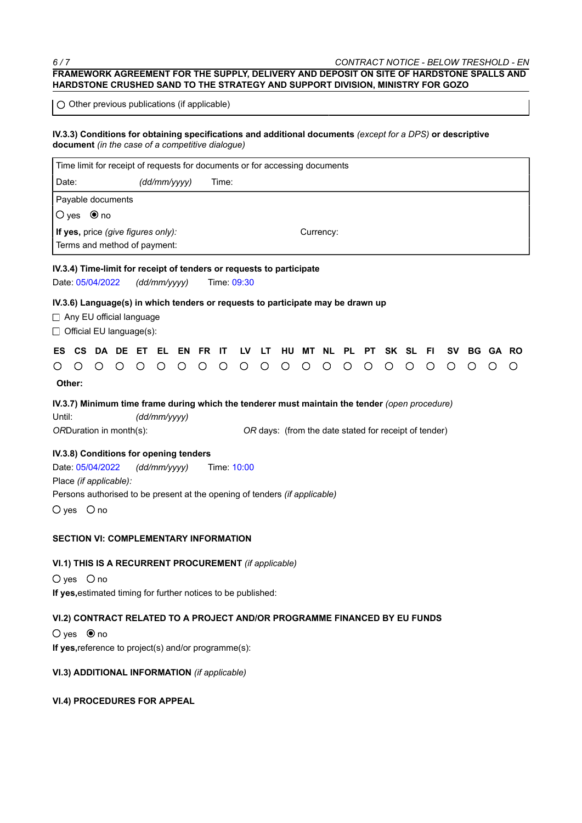# *6 / 7 CONTRACT NOTICE - BELOW TRESHOLD - EN* **FRAMEWORK AGREEMENT FOR THE SUPPLY, DELIVERY AND DEPOSIT ON SITE OF HARDSTONE SPALLS AND HARDSTONE CRUSHED SAND TO THE STRATEGY AND SUPPORT DIVISION, MINISTRY FOR GOZO**

 $\bigcirc$  Other previous publications (if applicable)

### **IV.3.3) Conditions for obtaining specifications and additional documents** *(except for a DPS)* **or descriptive document** *(in the case of a competitive dialogue)*

|                                                                                                                                                                                                                     | Time limit for receipt of requests for documents or for accessing documents                                             |   |          |         |              |         |         |         |         |         |         |         |           |           |           |         |   |     |           |           |       |   |
|---------------------------------------------------------------------------------------------------------------------------------------------------------------------------------------------------------------------|-------------------------------------------------------------------------------------------------------------------------|---|----------|---------|--------------|---------|---------|---------|---------|---------|---------|---------|-----------|-----------|-----------|---------|---|-----|-----------|-----------|-------|---|
| Date:                                                                                                                                                                                                               |                                                                                                                         |   |          |         | (dd/mm/yyyy) |         |         | Time:   |         |         |         |         |           |           |           |         |   |     |           |           |       |   |
|                                                                                                                                                                                                                     | Payable documents                                                                                                       |   |          |         |              |         |         |         |         |         |         |         |           |           |           |         |   |     |           |           |       |   |
|                                                                                                                                                                                                                     | $O$ yes $\bullet$ no                                                                                                    |   |          |         |              |         |         |         |         |         |         |         |           |           |           |         |   |     |           |           |       |   |
|                                                                                                                                                                                                                     | If yes, price (give figures only):<br>Currency:                                                                         |   |          |         |              |         |         |         |         |         |         |         |           |           |           |         |   |     |           |           |       |   |
|                                                                                                                                                                                                                     | Terms and method of payment:                                                                                            |   |          |         |              |         |         |         |         |         |         |         |           |           |           |         |   |     |           |           |       |   |
|                                                                                                                                                                                                                     | IV.3.4) Time-limit for receipt of tenders or requests to participate<br>Date: 05/04/2022<br>Time: 09:30<br>(dd/mm/yyyy) |   |          |         |              |         |         |         |         |         |         |         |           |           |           |         |   |     |           |           |       |   |
| IV.3.6) Language(s) in which tenders or requests to participate may be drawn up<br>$\Box$ Any EU official language<br>□ Official EU language(s):                                                                    |                                                                                                                         |   |          |         |              |         |         |         |         |         |         |         |           |           |           |         |   |     |           |           |       |   |
| ES.                                                                                                                                                                                                                 | <b>CS</b>                                                                                                               |   | DA DE ET |         | EL           | EN      | FR.     | ΙT      | LV      | LT      | HU      | MТ      | <b>NL</b> | <b>PL</b> | <b>PT</b> | SK SL   |   | FI. | <b>SV</b> | <b>BG</b> | GA RO |   |
| Ő                                                                                                                                                                                                                   | $\bigcirc$                                                                                                              | ◯ | $\circ$  | $\circ$ | $\circ$      | $\circ$ | $\circ$ | $\circ$ | $\circ$ | $\circ$ | $\circ$ | $\circ$ | $\circ$   | $\circ$   | $\circ$   | $\circ$ | O | O   | O         | O         | ∩     | O |
|                                                                                                                                                                                                                     | Other:                                                                                                                  |   |          |         |              |         |         |         |         |         |         |         |           |           |           |         |   |     |           |           |       |   |
| IV.3.7) Minimum time frame during which the tenderer must maintain the tender (open procedure)<br>Until:<br>(dd/mm/yyyy)<br>ORDuration in month(s):<br>OR days: (from the date stated for receipt of tender)        |                                                                                                                         |   |          |         |              |         |         |         |         |         |         |         |           |           |           |         |   |     |           |           |       |   |
| IV.3.8) Conditions for opening tenders<br>Date: 05/04/2022<br>(dd/mm/yyyy)<br>Time: 10:00<br>Place (if applicable):<br>Persons authorised to be present at the opening of tenders (if applicable)<br>$O$ yes $O$ no |                                                                                                                         |   |          |         |              |         |         |         |         |         |         |         |           |           |           |         |   |     |           |           |       |   |
| <b>SECTION VI: COMPLEMENTARY INFORMATION</b>                                                                                                                                                                        |                                                                                                                         |   |          |         |              |         |         |         |         |         |         |         |           |           |           |         |   |     |           |           |       |   |
| VI.1) THIS IS A RECURRENT PROCUREMENT (if applicable)<br>$O$ yes $O$ no<br>If yes, estimated timing for further notices to be published:                                                                            |                                                                                                                         |   |          |         |              |         |         |         |         |         |         |         |           |           |           |         |   |     |           |           |       |   |
| VI.2) CONTRACT RELATED TO A PROJECT AND/OR PROGRAMME FINANCED BY EU FUNDS<br>$O$ yes $\bullet$ no<br>If yes, reference to project(s) and/or programme(s):                                                           |                                                                                                                         |   |          |         |              |         |         |         |         |         |         |         |           |           |           |         |   |     |           |           |       |   |

# **VI.3) ADDITIONAL INFORMATION** *(if applicable)*

# **VI.4) PROCEDURES FOR APPEAL**